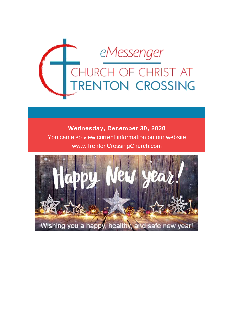

# **Wednesday, December 30, 2020** You can also view current information on our website www.TrentonCrossingChurch.com

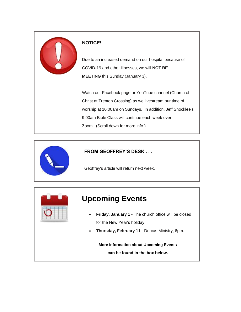

#### **NOTICE!**

Due to an increased demand on our hospital because of COVID-19 and other illnesses, we will **NOT BE MEETING** this Sunday (January 3).

Watch our Facebook page or YouTube channel (Church of Christ at Trenton Crossing) as we livestream our time of worship at 10:00am on Sundays. In addition, Jeff Shocklee's 9:00am Bible Class will continue each week over Zoom. (Scroll down for more info.)



## **FROM GEOFFREY'S DESK . . .**

Geoffrey's article will return next week.



# **Upcoming Events**

- **Friday, January 1 -** The church office will be closed for the New Year's holiday
- **Thursday, February 11 -** Dorcas Ministry, 6pm.

**More information about Upcoming Events can be found in the box below.**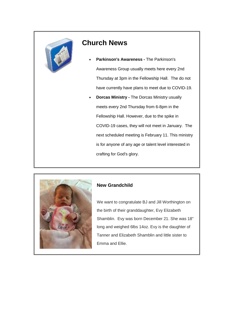

## **Church News**

- **Parkinson's Awareness -** The Parkinson's Awareness Group usually meets here every 2nd Thursday at 3pm in the Fellowship Hall. The do not have currently have plans to meet due to COVID-19.
- **Dorcas Ministry -** The Dorcas Ministry usually meets every 2nd Thursday from 6-8pm in the Fellowship Hall. However, due to the spike in COVID-19 cases, they will not meet in January. The next scheduled meeting is February 11. This ministry is for anyone of any age or talent level interested in crafting for God's glory.



#### **New Grandchild**

We want to congratulate BJ and Jill Worthington on the birth of their granddaughter, Evy Elizabeth Shamblin. Evy was born December 21. She was 18" long and weighed 6lbs 14oz. Evy is the daughter of Tanner and Elizabeth Shamblin and little sister to Emma and Ellie.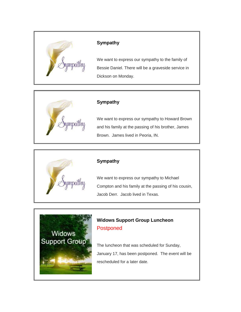

#### **Sympathy**

We want to express our sympathy to the family of Bessie Daniel. There will be a graveside service in Dickson on Monday.



## **Sympathy**

We want to express our sympathy to Howard Brown and his family at the passing of his brother, James Brown. James lived in Peoria, IN.



#### **Sympathy**

We want to express our sympathy to Michael Compton and his family at the passing of his cousin, Jacob Derr. Jacob lived in Texas.



## **Widows Support Group Luncheon** Postponed

The luncheon that was scheduled for Sunday, January 17, has been postponed. The event will be rescheduled for a later date.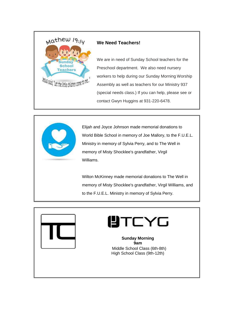

#### **We Need Teachers!**

We are in need of Sunday School teachers for the Preschool department. We also need nursery workers to help during our Sunday Morning Worship Assembly as well as teachers for our Ministry 937 (special needs class.) If you can help, please see or contact Gwyn Huggins at 931-220-6478.



Elijah and Joyce Johnson made memorial donations to World Bible School in memory of Joe Mallory, to the F.U.E.L. Ministry in memory of Sylvia Perry, and to The Well in memory of Misty Shocklee's grandfather, Virgil Williams.

Wilton McKinney made memorial donations to The Well in memory of Misty Shocklee's grandfather, Virgil Williams, and to the F.U.E.L. Ministry in memory of Sylvia Perry.



# UTCYG

**Sunday Morning 9am** Middle School Class (6th-8th) High School Class (9th-12th)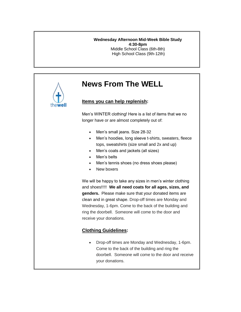#### **Wednesday Afternoon Mid-Week Bible Study 4:30-8pm** Middle School Class (6th-8th) High School Class (9th-12th)



# **News From The WELL**

#### **Items you can help replenish:**

Men's WINTER clothing! Here is a list of items that we no longer have or are almost completely out of:

- Men's small jeans. Size 28-32
- Men's hoodies, long sleeve t-shirts, sweaters, fleece tops, sweatshirts (size small and 2x and up)
- Men's coats and jackets (all sizes)
- Men's belts
- Men's tennis shoes (no dress shoes please)
- New boxers

We will be happy to take any sizes in men's winter clothing and shoes!!!!! **We all need coats for all ages, sizes, and genders.** Please make sure that your donated items are clean and in great shape. Drop-off times are Monday and Wednesday, 1-6pm. Come to the back of the building and ring the doorbell. Someone will come to the door and receive your donations.

## **Clothing Guidelines:**

 Drop-off times are Monday and Wednesday, 1-6pm. Come to the back of the building and ring the doorbell. Someone will come to the door and receive your donations.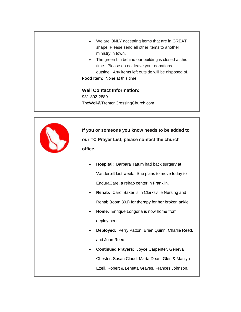- We are ONLY accepting items that are in GREAT shape. Please send all other items to another ministry in town.
- The green bin behind our building is closed at this time. Please do not leave your donations outside! Any items left outside will be disposed of. **Food Item:** None at this time.

#### **Well Contact Information:**

931-802-2889 TheWell@TrentonCrossingChurch.com



**If you or someone you know needs to be added to our TC Prayer List, please contact the church office.**

- **Hospital:** Barbara Tatum had back surgery at Vanderbilt last week. She plans to move today to EnduraCare, a rehab center in Franklin.
- **Rehab:** Carol Baker is in Clarksville Nursing and Rehab (room 301) for therapy for her broken ankle.
- **Home:** Enrique Longoria is now home from deployment.
- **Deployed:** Perry Patton, Brian Quinn, Charlie Reed, and John Reed.
- **Continued Prayers:** Joyce Carpenter, Geneva Chester, Susan Claud, Marta Dean, Glen & Marilyn Ezell, Robert & Lenetta Graves, Frances Johnson,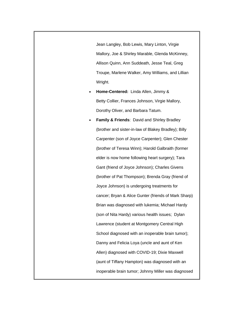Jean Langley, Bob Lewis, Mary Linton, Virgie Mallory, Joe & Shirley Marable, Glenda McKinney, Allison Quinn, Ann Suddeath, Jesse Teal, Greg Troupe, Marlene Walker, Amy Williams, and Lillian Wright.

- **Home-Centered:** Linda Allen, Jimmy & Betty Collier, Frances Johnson, Virgie Mallory, Dorothy Oliver, and Barbara Tatum.
	- **Family & Friends**: David and Shirley Bradley (brother and sister-in-law of Blakey Bradley); Billy Carpenter (son of Joyce Carpenter); Glen Chester (brother of Teresa Winn); Harold Galbraith (former elder is now home following heart surgery); Tara Gant (friend of Joyce Johnson); Charles Givens (brother of Pat Thompson); Brenda Gray (friend of Joyce Johnson) is undergoing treatments for cancer; Bryan & Alice Gunter (friends of Mark Sharp) Brian was diagnosed with lukemia; Michael Hardy (son of Nita Hardy) various health issues; Dylan Lawrence (student at Montgomery Central High School diagnosed with an inoperable brain tumor); Danny and Felicia Loya (uncle and aunt of Ken Allen) diagnosed with COVID-19; Dixie Maxwell (aunt of Tiffany Hampton) was diagnosed with an inoperable brain tumor; Johnny Miller was diagnosed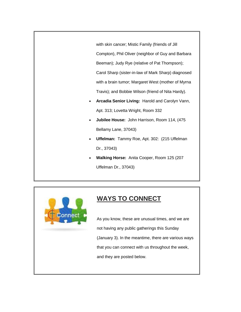with skin cancer; Mistic Family (friends of Jill Compton), Phil Oliver (neighbor of Guy and Barbara Beeman); Judy Rye (relative of Pat Thompson); Carol Sharp (sister-in-law of Mark Sharp) diagnosed with a brain tumor; Margaret West (mother of Myrna Travis); and Bobbie Wilson (friend of Nita Hardy).

- **Arcadia Senior Living:** Harold and Carolyn Vann, Apt. 313; Lovetta Wright, Room 332
- **Jubilee House:** John Harrison, Room 114, (475 Bellamy Lane, 37043)
- **Uffelman:** Tammy Roe, Apt. 302: (215 Uffelman Dr., 37043)
- **Walking Horse:** Anita Cooper, Room 125 (207 Uffelman Dr., 37043)



# **WAYS TO CONNECT**

As you know, these are unusual times, and we are not having any public gatherings this Sunday (January 3). In the meantime, there are various ways that you can connect with us throughout the week, and they are posted below.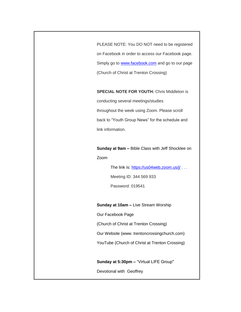PLEASE NOTE: You DO NOT need to be registered on Facebook in order to access our Facebook page. Simply go to **[www.facebook.com](http://www.facebook.com/)** and go to our page (Church of Christ at Trenton Crossing)

#### **SPECIAL NOTE FOR YOUTH:** Chris Middleton is

conducting several meetings/studies throughout the week using Zoom. Please scroll back to "Youth Group News" for the schedule and link information.

**Sunday at 9am –** Bible Class with Jeff Shocklee on Zoom

The link is: <https://us04web.zoom.us/j/> . . .

Meeting ID: 344 569 933

Password: 019541

**Sunday at 10am –** Live Stream Worship

Our Facebook Page

(Church of Christ at Trenton Crossing)

Our Website (www. trentoncrossingchurch.com)

YouTube (Church of Christ at Trenton Crossing)

**Sunday at 5:30pm –** "Virtual LIFE Group"

Devotional with Geoffrey